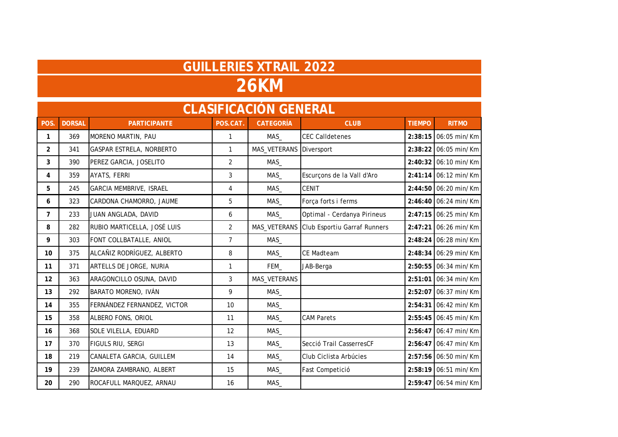## **GUILLERIES XTRAIL 2022 26KM**

| <b>CLASIFICACIÓN GENERAL</b> |               |                                |                |                  |                              |               |                        |  |  |
|------------------------------|---------------|--------------------------------|----------------|------------------|------------------------------|---------------|------------------------|--|--|
| POS.                         | <b>DORSAL</b> | <b>PARTICIPANTE</b>            | POS.CAT.       | <b>CATEGORÍA</b> | <b>CLUB</b>                  | <b>TIEMPO</b> | <b>RITMO</b>           |  |  |
| 1                            | 369           | MORENO MARTIN, PAU             | $\mathbf{1}$   | MAS              | <b>CEC Calldetenes</b>       |               | 2:38:15 06:05 min/Km   |  |  |
| $\overline{2}$               | 341           | GASPAR ESTRELA, NORBERTO       | $\mathbf{1}$   | MAS_VETERANS     | Diversport                   |               | 2:38:22 06:05 min/Km   |  |  |
| 3                            | 390           | PEREZ GARCIA, JOSELITO         | $\overline{2}$ | MAS              |                              |               | 2:40:32 06:10 min/Km   |  |  |
| 4                            | 359           | AYATS, FERRI                   | 3              | MAS_             | Escurçons de la Vall d'Aro   |               | $2:41:14$ 06:12 min/Km |  |  |
| 5                            | 245           | <b>GARCIA MEMBRIVE, ISRAEL</b> | 4              | MAS_             | <b>CENIT</b>                 |               | 2:44:50 06:20 min/Km   |  |  |
| 6                            | 323           | CARDONA CHAMORRO, JAUME        | 5              | MAS              | Força forts i ferms          |               | 2:46:40 06:24 min/Km   |  |  |
| $\overline{7}$               | 233           | JUAN ANGLADA, DAVID            | 6              | MAS_             | Optimal - Cerdanya Pirineus  |               | 2:47:15 06:25 min/Km   |  |  |
| 8                            | 282           | RUBIO MARTICELLA, JOSÉ LUIS    | $\overline{2}$ | MAS_VETERANS     | Club Esportiu Garraf Runners |               | 2:47:21 06:26 min/Km   |  |  |
| 9                            | 303           | FONT COLLBATALLE, ANIOL        | $\overline{7}$ | MAS_             |                              |               | 2:48:24 06:28 min/Km   |  |  |
| 10 <sup>°</sup>              | 375           | ALCAÑIZ RODRÍGUEZ, ALBERTO     | 8              | MAS_             | CE Madteam                   |               | $2:48:34$ 06:29 min/Km |  |  |
| 11                           | 371           | ARTELLS DE JORGE, NURIA        | 1              | FEM_             | JAB-Berga                    |               | 2:50:55 06:34 min/Km   |  |  |
| 12                           | 363           | ARAGONCILLO OSUNA, DAVID       | 3              | MAS_VETERANS     |                              |               | 2:51:01 06:34 min/Km   |  |  |
| 13                           | 292           | BARATO MORENO, IVÁN            | 9              | MAS              |                              |               | 2:52:07 06:37 min/Km   |  |  |
| 14                           | 355           | FERNÁNDEZ FERNANDEZ, VICTOR    | 10             | MAS_             |                              |               | 2:54:31 06:42 min/Km   |  |  |
| 15                           | 358           | ALBERO FONS, ORIOL             | 11             | MAS              | <b>CAM Parets</b>            |               | 2:55:45 06:45 min/Km   |  |  |
| 16                           | 368           | SOLE VILELLA, EDUARD           | 12             | MAS_             |                              |               | 2:56:47 06:47 min/Km   |  |  |
| 17                           | 370           | FIGULS RIU, SERGI              | 13             | MAS_             | Secció Trail CasserresCF     |               | $2:56:47$ 06:47 min/Km |  |  |
| 18                           | 219           | CANALETA GARCIA, GUILLEM       | 14             | MAS_             | Club Ciclista Arbúcies       |               | 2:57:56 06:50 min/Km   |  |  |
| 19                           | 239           | ZAMORA ZAMBRANO, ALBERT        | 15             | MAS_             | Fast Competició              |               | 2:58:19 06:51 min/Km   |  |  |
| 20                           | 290           | ROCAFULL MARQUEZ, ARNAU        | 16             | MAS_             |                              |               | 2:59:47 06:54 min/Km   |  |  |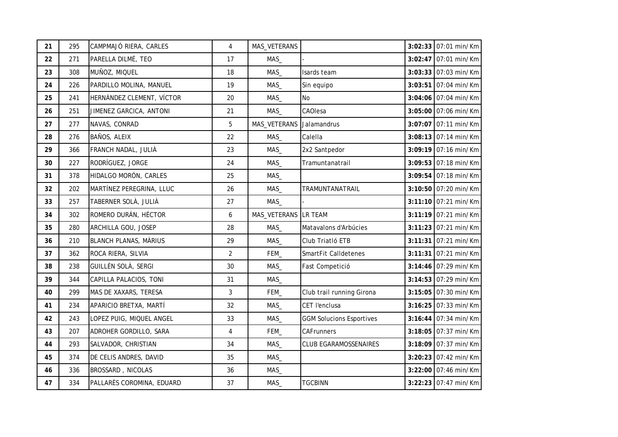| 21 | 295 | CAMPMAJÓ RIERA, CARLES       | $\overline{4}$ | MAS_VETERANS         |                                 | 3:02:33 07:01 min/Km   |
|----|-----|------------------------------|----------------|----------------------|---------------------------------|------------------------|
| 22 | 271 | PARELLA DILMÉ, TEO           | 17             | MAS                  |                                 | $3:02:47$ 07:01 min/Km |
| 23 | 308 | MUÑOZ, MIQUEL                | 18             | MAS_                 | Isards team                     | $3:03:33$ 07:03 min/Km |
| 24 | 226 | PARDILLO MOLINA, MANUEL      | 19             | MAS_                 | Sin equipo                      | 3:03:51 07:04 min/Km   |
| 25 | 241 | HERNÁNDEZ CLEMENT, VÍCTOR    | 20             | MAS_                 | No                              | $3:04:06$ 07:04 min/Km |
| 26 | 251 | JIMENEZ GARCICA, ANTONI      | 21             | MAS_                 | CAOlesa                         | 3:05:00 07:06 min/Km   |
| 27 | 277 | NAVAS, CONRAD                | 5              | MAS_VETERANS         | Jalamandrus                     | 3:07:07 07:11 min/Km   |
| 28 | 276 | BAÑOS, ALEIX                 | 22             | MAS_                 | Calella                         | $3:08:13$ 07:14 min/Km |
| 29 | 366 | FRANCH NADAL, JULIÀ          | 23             | MAS_                 | 2x2 Santpedor                   | $3:09:19$ 07:16 min/Km |
| 30 | 227 | RODRÍGUEZ, JORGE             | 24             | MAS_                 | Tramuntanatrail                 | $3:09:53$ 07:18 min/Km |
| 31 | 378 | HIDALGO MORÓN, CARLES        | 25             | MAS                  |                                 | 3:09:54 07:18 min/Km   |
| 32 | 202 | MARTÍNEZ PEREGRINA, LLUC     | 26             | MAS                  | TRAMUNTANATRAIL                 | $3:10:50$ 07:20 min/Km |
| 33 | 257 | TABERNER SOLÀ, JULIÀ         | 27             | MAS                  |                                 | 3:11:10 07:21 min/Km   |
| 34 | 302 | ROMERO DURÁN, HÉCTOR         | 6              | MAS_VETERANS LR TEAM |                                 | 3:11:19 07:21 min/Km   |
| 35 | 280 | ARCHILLA GOU, JOSEP          | 28             | MAS_                 | Matavalons d'Arbúcies           | 3:11:23 07:21 min/Km   |
| 36 | 210 | <b>BLANCH PLANAS, MÀRIUS</b> | 29             | MAS                  | Club Triatló ETB                | 3:11:31 07:21 min/Km   |
| 37 | 362 | ROCA RIERA, SILVIA           | $\overline{2}$ | FEM                  | SmartFit Calldetenes            | 3:11:31 07:21 min/Km   |
| 38 | 238 | GUILLÉN SOLÀ, SERGI          | 30             | MAS                  | Fast Competició                 | $3:14:46$ 07:29 min/Km |
| 39 | 344 | CAPILLA PALACIOS, TONI       | 31             | MAS                  |                                 | 3:14:53 07:29 min/Km   |
| 40 | 299 | MAS DE XAXARS, TERESA        | 3              | FEM_                 | Club trail running Girona       | $3:15:05$ 07:30 min/Km |
| 41 | 234 | APARICIO BRETXA, MARTÍ       | 32             | MAS                  | CET l'enclusa                   | 3:16:25 07:33 min/Km   |
| 42 | 243 | LOPEZ PUIG, MIQUEL ANGEL     | 33             | MAS                  | <b>GGM Solucions Esportives</b> | 3:16:44 07:34 min/Km   |
| 43 | 207 | ADROHER GORDILLO, SARA       | 4              | FEM_                 | <b>CAFrunners</b>               | 3:18:05 07:37 min/Km   |
| 44 | 293 | SALVADOR, CHRISTIAN          | 34             | MAS                  | <b>CLUB EGARAMOSSENAIRES</b>    | 3:18:09 07:37 min/Km   |
| 45 | 374 | DE CELIS ANDRES, DAVID       | 35             | MAS                  |                                 | 3:20:23 07:42 min/Km   |
| 46 | 336 | BROSSARD, NICOLAS            | 36             | MAS                  |                                 | $3:22:00$ 07:46 min/Km |
| 47 | 334 | PALLARÈS COROMINA, EDUARD    | 37             | MAS                  | <b>TGCBINN</b>                  | $3:22:23$ 07:47 min/Km |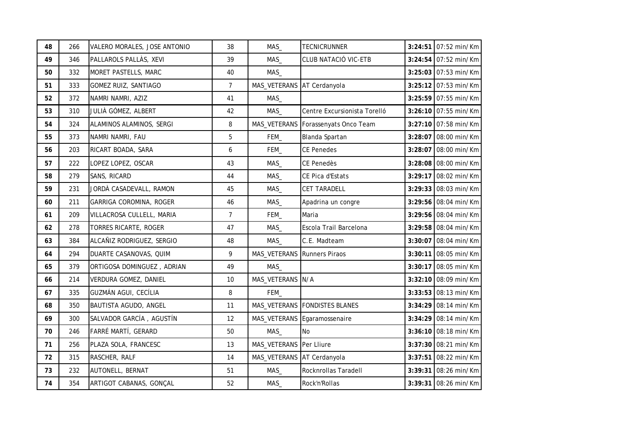| 48 | 266 | VALERO MORALES, JOSE ANTONIO | 38             | MAS_                        | <b>TECNICRUNNER</b>                   |         | 3:24:51 07:52 min/Km   |
|----|-----|------------------------------|----------------|-----------------------------|---------------------------------------|---------|------------------------|
| 49 | 346 | PALLAROLS PALLÀS, XEVI       | 39             | MAS                         | CLUB NATACIÓ VIC-ETB                  |         | $3:24:54$ 07:52 min/Km |
| 50 | 332 | MORET PASTELLS, MARC         | 40             | MAS                         |                                       |         | $3:25:03$ 07:53 min/Km |
| 51 | 333 | GOMEZ RUIZ, SANTIAGO         | $\overline{7}$ | MAS_VETERANS AT Cerdanyola  |                                       |         | $3:25:12$ 07:53 min/Km |
| 52 | 372 | NAMRI NAMRI, AZIZ            | 41             | MAS                         |                                       |         | 3:25:59 07:55 min/Km   |
| 53 | 310 | JULIÀ GÓMEZ, ALBERT          | 42             | MAS_                        | Centre Excursionista Torelló          |         | $3:26:10$ 07:55 min/Km |
| 54 | 324 | ALAMINOS ALAMINOS, SERGI     | 8              |                             | MAS_VETERANS   Forassenyats Onco Team |         | 3:27:10 07:58 min/Km   |
| 55 | 373 | NAMRI NAMRI, FAU             | 5              | FEM_                        | Blanda Spartan                        |         | 3:28:07 08:00 min/Km   |
| 56 | 203 | RICART BOADA, SARA           | 6              | FEM_                        | <b>CE Penedes</b>                     |         | $3:28:07$ 08:00 min/Km |
| 57 | 222 | LOPEZ LOPEZ, OSCAR           | 43             | MAS_                        | CE Penedès                            |         | $3:28:08$ 08:00 min/Km |
| 58 | 279 | SANS, RICARD                 | 44             | MAS_                        | CE Pica d'Estats                      |         | 3:29:17 08:02 min/Km   |
| 59 | 231 | JORDÀ CASADEVALL, RAMON      | 45             | MAS_                        | <b>CET TARADELL</b>                   |         | 3:29:33 08:03 min/Km   |
| 60 | 211 | GARRIGA COROMINA, ROGER      | 46             | MAS_                        | Apadrina un congre                    |         | 3:29:56 08:04 min/Km   |
| 61 | 209 | VILLACROSA CULLELL, MARIA    | $\overline{7}$ | FEM_                        | Maria                                 |         | 3:29:56 08:04 min/Km   |
| 62 | 278 | TORRES RICARTE, ROGER        | 47             | MAS_                        | Escola Trail Barcelona                |         | 3:29:58 08:04 min/Km   |
| 63 | 384 | ALCAÑIZ RODRIGUEZ, SERGIO    | 48             | MAS_                        | C.E. Madteam                          |         | 3:30:07 08:04 min/Km   |
| 64 | 294 | DUARTE CASANOVAS, QUIM       | 9              | MAS_VETERANS Runners Piraos |                                       |         | $3:30:11$ 08:05 min/Km |
| 65 | 379 | ORTIGOSA DOMINGUEZ, ADRIAN   | 49             | MAS                         |                                       |         | $3:30:17$ 08:05 min/Km |
| 66 | 214 | VERDURA GOMEZ, DANIEL        | 10             | MAS_VETERANS N/A            |                                       |         | $3:32:10$ 08:09 min/Km |
| 67 | 335 | GUZMÁN AGUI, CECÍLIA         | 8              | FEM_                        |                                       |         | $3:33:53$ 08:13 min/Km |
| 68 | 350 | BAUTISTA AGUDO, ANGEL        | 11             |                             | MAS_VETERANS   FONDISTES BLANES       |         | $3:34:29$ 08:14 min/Km |
| 69 | 300 | SALVADOR GARCÍA, AGUSTÍN     | 12             |                             | MAS_VETERANS Egaramossenaire          |         | $3:34:29$ 08:14 min/Km |
| 70 | 246 | FARRÉ MARTÍ, GERARD          | 50             | MAS                         | <b>No</b>                             |         | 3:36:10 08:18 min/Km   |
| 71 | 256 | PLAZA SOLA, FRANCESC         | 13             | MAS_VETERANS Per Lliure     |                                       |         | 3:37:30 08:21 min/Km   |
| 72 | 315 | RASCHER, RALF                | 14             | MAS_VETERANS AT Cerdanyola  |                                       | 3:37:51 | 08:22 min/Km           |
| 73 | 232 | AUTONELL, BERNAT             | 51             | MAS_                        | Rocknrollas Taradell                  |         | 3:39:31 08:26 min/Km   |
| 74 | 354 | ARTIGOT CABANAS, GONÇAL      | 52             | MAS_                        | Rock'n'Rollas                         |         | 3:39:31 08:26 min/Km   |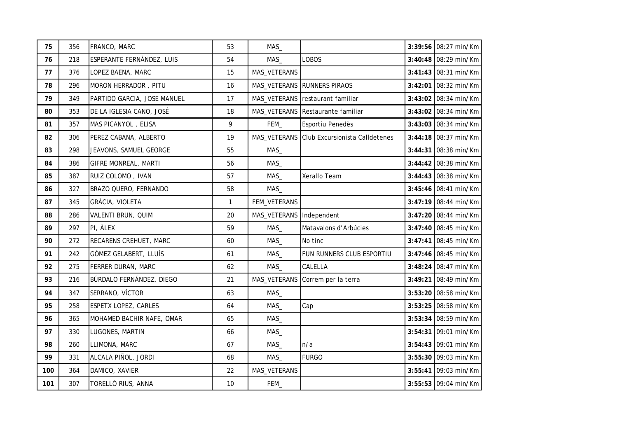| 75  | 356 | FRANCO, MARC                | 53           | MAS                        |                                             | 3:39:56 08:27 min/Km   |
|-----|-----|-----------------------------|--------------|----------------------------|---------------------------------------------|------------------------|
| 76  | 218 | ESPERANTE FERNÁNDEZ, LUIS   | 54           | MAS                        | LOBOS                                       | $3:40:48$ 08:29 min/Km |
| 77  | 376 | LOPEZ BAENA, MARC           | 15           | MAS_VETERANS               |                                             | $3:41:43$ 08:31 min/Km |
| 78  | 296 | MORON HERRADOR, PITU        | 16           |                            | MAS_VETERANS RUNNERS PIRAOS                 | $3:42:01$ 08:32 min/Km |
| 79  | 349 | PARTIDO GARCIA, JOSE MANUEL | 17           |                            | MAS_VETERANS restaurant familiar            | $3:43:02$ 08:34 min/Km |
| 80  | 353 | DE LA IGLESIA CANO, JOSÉ    | 18           |                            | MAS_VETERANS Restaurante familiar           | $3:43:02$ 08:34 min/Km |
| 81  | 357 | MAS PICANYOL, ELISA         | 9            | FEM_                       | Esportiu Penedès                            | 3:43:03 08:34 min/Km   |
| 82  | 306 | PEREZ CABANA, ALBERTO       | 19           |                            | MAS_VETERANS Club Excursionista Calldetenes | $3:44:18$ 08:37 min/Km |
| 83  | 298 | JEAVONS, SAMUEL GEORGE      | 55           | MAS                        |                                             | $3:44:31$ 08:38 min/Km |
| 84  | 386 | GIFRE MONREAL, MARTI        | 56           | MAS_                       |                                             | $3:44:42$ 08:38 min/Km |
| 85  | 387 | RUIZ COLOMO, IVAN           | 57           | MAS                        | Xerallo Team                                | 3:44:43 08:38 min/Km   |
| 86  | 327 | BRAZO QUERO, FERNANDO       | 58           | MAS                        |                                             | $3:45:46$ 08:41 min/Km |
| 87  | 345 | GRÀCIA, VIOLETA             | $\mathbf{1}$ | FEM_VETERANS               |                                             | $3:47:19$ 08:44 min/Km |
| 88  | 286 | VALENTI BRUN, QUIM          | 20           | MAS_VETERANS   Independent |                                             | $3:47:20$ 08:44 min/Km |
| 89  | 297 | PI, ALEX                    | 59           | MAS_                       | Matavalons d'Arbúcies                       | 3:47:40 08:45 min/Km   |
| 90  | 272 | RECARENS CREHUET, MARC      | 60           | MAS                        | No tinc                                     | $3:47:41$ 08:45 min/Km |
| 91  | 242 | GÓMEZ GELABERT, LLUÍS       | 61           | MAS_                       | FUN RUNNERS CLUB ESPORTIU                   | $3:47:46$ 08:45 min/Km |
| 92  | 275 | FERRER DURAN, MARC          | 62           | MAS_                       | CALELLA                                     | $3:48:24$ 08:47 min/Km |
| 93  | 216 | BÚRDALO FERNÁNDEZ, DIEGO    | 21           |                            | MAS_VETERANS Correm per la terra            | 3:49:21 08:49 min/Km   |
| 94  | 347 | SERRANO, VÍCTOR             | 63           | MAS                        |                                             | $3:53:20$ 08:58 min/Km |
| 95  | 258 | ESPETX LOPEZ, CARLES        | 64           | MAS                        | Cap                                         | 3:53:25 08:58 min/Km   |
| 96  | 365 | MOHAMED BACHIR NAFE, OMAR   | 65           | MAS                        |                                             | 3:53:34 08:59 min/Km   |
| 97  | 330 | LUGONES, MARTIN             | 66           | MAS                        |                                             | 3:54:31 09:01 min/Km   |
| 98  | 260 | LLIMONA, MARC               | 67           | MAS_                       | n/a                                         | 3:54:43 09:01 min/Km   |
| 99  | 331 | ALCALA PIÑOL, JORDI         | 68           | MAS                        | <b>FURGO</b>                                | 3:55:30 09:03 min/Km   |
| 100 | 364 | DAMICO, XAVIER              | 22           | MAS_VETERANS               |                                             | 3:55:41 09:03 min/Km   |
| 101 | 307 | TORELLÓ RIUS, ANNA          | 10           | FEM_                       |                                             | 3:55:53 09:04 min/Km   |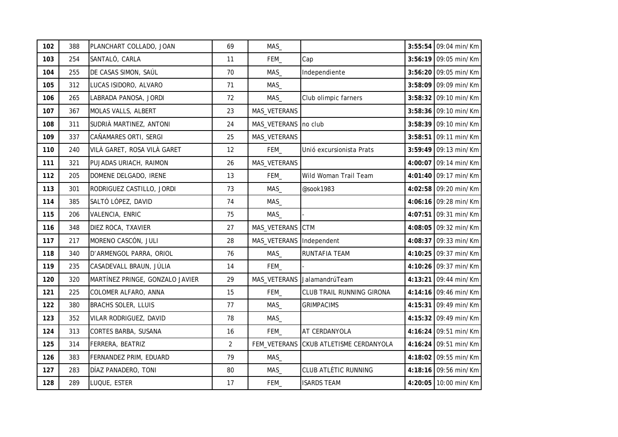| 102 | 388 | PLANCHART COLLADO, JOAN         | 69             | MAS                        |                                        | 3:55:54 09:04 min/Km   |
|-----|-----|---------------------------------|----------------|----------------------------|----------------------------------------|------------------------|
| 103 | 254 | SANTALÓ, CARLA                  | 11             | FEM_                       | Cap                                    | 3:56:19 09:05 min/Km   |
| 104 | 255 | DE CASAS SIMON, SAÚL            | 70             | MAS_                       | Independiente                          | 3:56:20 09:05 min/Km   |
| 105 | 312 | LUCAS ISIDORO, ALVARO           | 71             | MAS_                       |                                        | $3:58:09$ 09:09 min/Km |
| 106 | 265 | LABRADA PANOSA, JORDI           | 72             | MAS_                       | Club olimpic farners                   | $3:58:32$ 09:10 min/Km |
| 107 | 367 | MOLAS VALLS, ALBERT             | 23             | MAS_VETERANS               |                                        | 3:58:36 09:10 min/Km   |
| 108 | 311 | SUDRIÀ MARTINEZ, ANTONI         | 24             | MAS_VETERANS   no club     |                                        | 3:58:39 09:10 min/Km   |
| 109 | 337 | CAÑAMARES ORTI, SERGI           | 25             | MAS_VETERANS               |                                        | $3:58:51$ 09:11 min/Km |
| 110 | 240 | VILÀ GARET, ROSA VILÀ GARET     | 12             | FEM_                       | Unió excursionista Prats               | 3:59:49 09:13 min/Km   |
| 111 | 321 | PUJADAS URIACH, RAIMON          | 26             | MAS_VETERANS               |                                        | $4:00:07$ 09:14 min/Km |
| 112 | 205 | DOMENE DELGADO, IRENE           | 13             | FEM_                       | Wild Woman Trail Team                  | 4:01:40 09:17 min/Km   |
| 113 | 301 | RODRIGUEZ CASTILLO, JORDI       | 73             | MAS_                       | @sook1983                              | 4:02:58 09:20 min/Km   |
| 114 | 385 | SALTÓ LÓPEZ, DAVID              | 74             | MAS_                       |                                        | 4:06:16 09:28 min/Km   |
| 115 | 206 | VALENCIA, ENRIC                 | 75             | MAS_                       |                                        | $4:07:51$ 09:31 min/Km |
| 116 | 348 | DIEZ ROCA, TXAVIER              | 27             | MAS_VETERANS CTM           |                                        | 4:08:05 09:32 min/Km   |
| 117 | 217 | MORENO CASCÓN, JULI             | 28             | MAS_VETERANS   Independent |                                        | 4:08:37 09:33 min/Km   |
| 118 | 340 | D'ARMENGOL PARRA, ORIOL         | 76             | MAS_                       | RUNTAFIA TEAM                          | 4:10:25 09:37 min/Km   |
| 119 | 235 | CASADEVALL BRAUN, JÚLIA         | 14             | FEM_                       |                                        | 4:10:26 09:37 min/Km   |
| 120 | 320 | MARTÍNEZ PRINGE, GONZALO JAVIER | 29             |                            | MAS_VETERANS JalamandrúTeam            | 4:13:21 09:44 min/Km   |
| 121 | 225 | COLOMER ALFARO, ANNA            | 15             | FEM_                       | CLUB TRAIL RUNNING GIRONA              | $4:14:16$ 09:46 min/Km |
| 122 | 380 | BRACHS SOLER, LLUIS             | 77             | MAS_                       | <b>GRIMPACIMS</b>                      | 4:15:31 09:49 min/Km   |
| 123 | 352 | VILAR RODRIGUEZ, DAVID          | 78             | MAS                        |                                        | $4:15:32$ 09:49 min/Km |
| 124 | 313 | CORTES BARBA, SUSANA            | 16             | FEM_                       | AT CERDANYOLA                          | 4:16:24 09:51 min/Km   |
| 125 | 314 | FERRERA, BEATRIZ                | $\overline{2}$ |                            | FEM_VETERANS CKUB ATLETISME CERDANYOLA | 4:16:24 09:51 min/Km   |
| 126 | 383 | FERNANDEZ PRIM, EDUARD          | 79             | MAS                        |                                        | 4:18:02 09:55 min/Km   |
| 127 | 283 | DÍAZ PANADERO, TONI             | 80             | MAS                        | <b>CLUB ATLÈTIC RUNNING</b>            | $4:18:16$ 09:56 min/Km |
| 128 | 289 | LUQUE, ESTER                    | 17             | FEM_                       | <b>ISARDS TEAM</b>                     | 4:20:05 10:00 min/Km   |